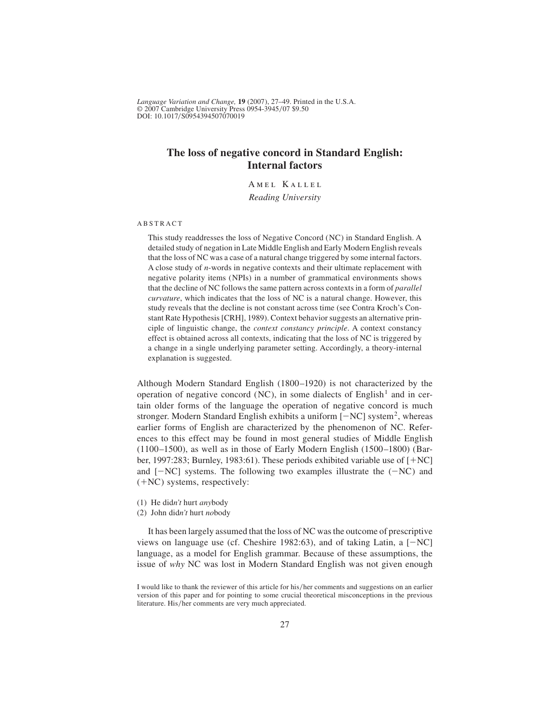# **The loss of negative concord in Standard English: Internal factors**

Amel Kallel *Reading University*

#### ABSTRACT

This study readdresses the loss of Negative Concord (NC) in Standard English. A detailed study of negation in Late Middle English and Early Modern English reveals that the loss of NC was a case of a natural change triggered by some internal factors. A close study of *n*-words in negative contexts and their ultimate replacement with negative polarity items (NPIs) in a number of grammatical environments shows that the decline of NC follows the same pattern across contexts in a form of *parallel curvature*, which indicates that the loss of NC is a natural change. However, this study reveals that the decline is not constant across time (see Contra Kroch's Constant Rate Hypothesis [CRH], 1989). Context behavior suggests an alternative principle of linguistic change, the *context constancy principle*. A context constancy effect is obtained across all contexts, indicating that the loss of NC is triggered by a change in a single underlying parameter setting. Accordingly, a theory-internal explanation is suggested.

Although Modern Standard English (1800–1920) is not characterized by the operation of negative concord (NC), in some dialects of English<sup>1</sup> and in certain older forms of the language the operation of negative concord is much stronger. Modern Standard English exhibits a uniform [-NC] system<sup>2</sup>, whereas earlier forms of English are characterized by the phenomenon of NC. References to this effect may be found in most general studies of Middle English (1100–1500), as well as in those of Early Modern English (1500–1800) (Barber, 1997:283; Burnley, 1983:61). These periods exhibited variable use of [+NC] and  $[-NC]$  systems. The following two examples illustrate the  $(-NC)$  and  $(+NC)$  systems, respectively:

- (1) He did*n't* hurt *any*body
- (2) John did*n't* hurt *no*body

It has been largely assumed that the loss of NC was the outcome of prescriptive views on language use (cf. Cheshire 1982:63), and of taking Latin, a  $[-NC]$ language, as a model for English grammar. Because of these assumptions, the issue of *why* NC was lost in Modern Standard English was not given enough

I would like to thank the reviewer of this article for his/her comments and suggestions on an earlier version of this paper and for pointing to some crucial theoretical misconceptions in the previous literature. His/her comments are very much appreciated.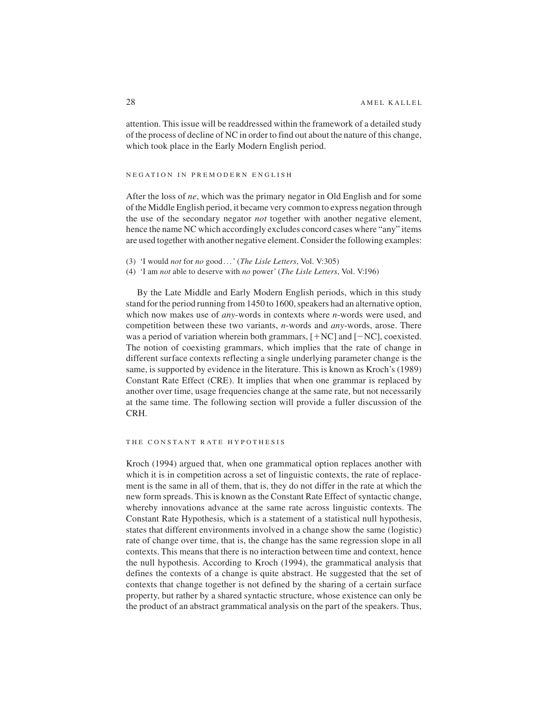attention. This issue will be readdressed within the framework of a detailed study of the process of decline of NC in order to find out about the nature of this change, which took place in the Early Modern English period.

#### NEGATION IN PREMODERN ENGLISH

After the loss of *ne*, which was the primary negator in Old English and for some of the Middle English period, it became very common to express negation through the use of the secondary negator *not* together with another negative element, hence the name NC which accordingly excludes concord cases where "any" items are used together with another negative element. Consider the following examples:

- (3) 'I would *not* for *no* good... ' (*The Lisle Letters*, Vol. V:305)
- (4) 'I am *not* able to deserve with *no* power' (*The Lisle Letters*, Vol. V:196)

By the Late Middle and Early Modern English periods, which in this study stand for the period running from 1450 to 1600, speakers had an alternative option, which now makes use of *any*-words in contexts where *n*-words were used, and competition between these two variants, *n*-words and *any*-words, arose. There was a period of variation wherein both grammars,  $[+NC]$  and  $[-NC]$ , coexisted. The notion of coexisting grammars, which implies that the rate of change in different surface contexts reflecting a single underlying parameter change is the same, is supported by evidence in the literature. This is known as Kroch's (1989) Constant Rate Effect (CRE). It implies that when one grammar is replaced by another over time, usage frequencies change at the same rate, but not necessarily at the same time. The following section will provide a fuller discussion of the CRH.

## THE CONSTANT RATE HYPOTHESIS

Kroch (1994) argued that, when one grammatical option replaces another with which it is in competition across a set of linguistic contexts, the rate of replacement is the same in all of them, that is, they do not differ in the rate at which the new form spreads. This is known as the Constant Rate Effect of syntactic change, whereby innovations advance at the same rate across linguistic contexts. The Constant Rate Hypothesis, which is a statement of a statistical null hypothesis, states that different environments involved in a change show the same (logistic) rate of change over time, that is, the change has the same regression slope in all contexts. This means that there is no interaction between time and context, hence the null hypothesis. According to Kroch (1994), the grammatical analysis that defines the contexts of a change is quite abstract. He suggested that the set of contexts that change together is not defined by the sharing of a certain surface property, but rather by a shared syntactic structure, whose existence can only be the product of an abstract grammatical analysis on the part of the speakers. Thus,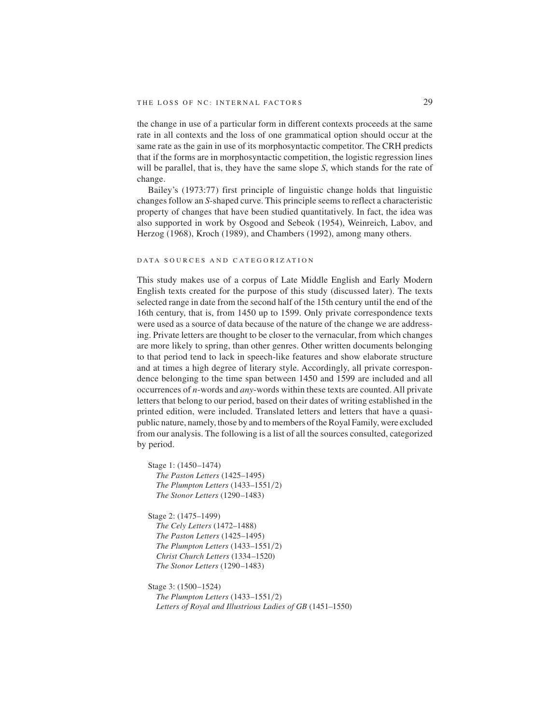the change in use of a particular form in different contexts proceeds at the same rate in all contexts and the loss of one grammatical option should occur at the same rate as the gain in use of its morphosyntactic competitor. The CRH predicts that if the forms are in morphosyntactic competition, the logistic regression lines will be parallel, that is, they have the same slope *S*, which stands for the rate of change.

Bailey's (1973:77) first principle of linguistic change holds that linguistic changes follow an *S*-shaped curve. This principle seems to reflect a characteristic property of changes that have been studied quantitatively. In fact, the idea was also supported in work by Osgood and Sebeok (1954), Weinreich, Labov, and Herzog (1968), Kroch (1989), and Chambers (1992), among many others.

```
DATA SOURCES AND CATEGORIZATION
```
This study makes use of a corpus of Late Middle English and Early Modern English texts created for the purpose of this study (discussed later). The texts selected range in date from the second half of the 15th century until the end of the 16th century, that is, from 1450 up to 1599. Only private correspondence texts were used as a source of data because of the nature of the change we are addressing. Private letters are thought to be closer to the vernacular, from which changes are more likely to spring, than other genres. Other written documents belonging to that period tend to lack in speech-like features and show elaborate structure and at times a high degree of literary style. Accordingly, all private correspondence belonging to the time span between 1450 and 1599 are included and all occurrences of *n*-words and *any*-words within these texts are counted. All private letters that belong to our period, based on their dates of writing established in the printed edition, were included. Translated letters and letters that have a quasipublic nature, namely, those by and to members of the Royal Family, were excluded from our analysis. The following is a list of all the sources consulted, categorized by period.

```
Stage 1: (1450–1474)
  The Paston Letters (1425–1495)
  The Plumpton Letters (1433-1551/2)
  The Stonor Letters (1290–1483)
```

```
Stage 2: (1475–1499)
```
*The Cely Letters* (1472–1488) *The Paston Letters* (1425–1495) *The Plumpton Letters*  $(1433-1551/2)$ *Christ Church Letters* (1334–1520) *The Stonor Letters* (1290–1483)

Stage 3: (1500–1524) *The Plumpton Letters* (1433-1551/2) *Letters of Royal and Illustrious Ladies of GB* (1451–1550)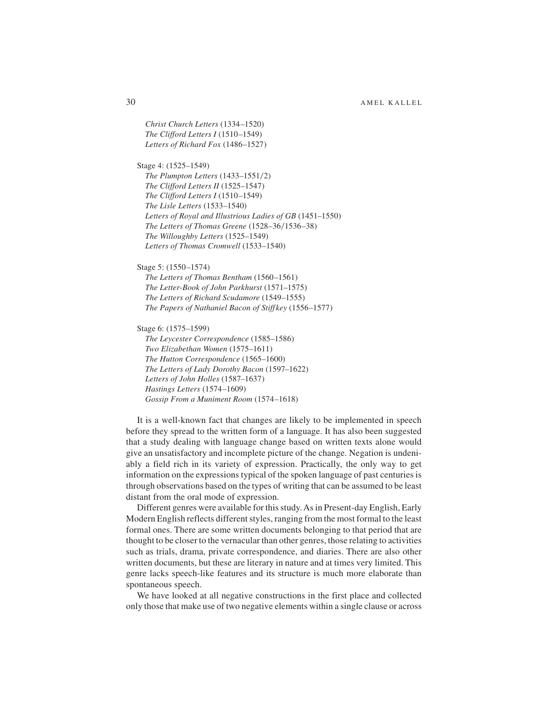```
Christ Church Letters (1334–1520)
The Clifford Letters I (1510–1549)
Letters of Richard Fox (1486–1527)
```
Stage 4: (1525–1549)

 $The Plumption Letters (1433–1551/2)$ *The Clifford Letters II* (1525–1547) *The Clifford Letters I* (1510–1549) *The Lisle Letters* (1533–1540) *Letters of Royal and Illustrious Ladies of GB* (1451–1550) The Letters of Thomas Greene (1528-36/1536-38) *The Willoughby Letters* (1525–1549) *Letters of Thomas Cromwell* (1533–1540)

Stage 5: (1550–1574)

*The Letters of Thomas Bentham* (1560–1561) *The Letter-Book of John Parkhurst* (1571–1575) *The Letters of Richard Scudamore* (1549–1555) *The Papers of Nathaniel Bacon of Stiffkey* (1556–1577)

Stage 6: (1575–1599)

*The Leycester Correspondence* (1585–1586) *Two Elizabethan Women* (1575–1611) *The Hutton Correspondence* (1565–1600) *The Letters of Lady Dorothy Bacon* (1597–1622) *Letters of John Holles* (1587–1637) *Hastings Letters* (1574–1609) *Gossip From a Muniment Room* (1574–1618)

It is a well-known fact that changes are likely to be implemented in speech before they spread to the written form of a language. It has also been suggested that a study dealing with language change based on written texts alone would give an unsatisfactory and incomplete picture of the change. Negation is undeniably a field rich in its variety of expression. Practically, the only way to get information on the expressions typical of the spoken language of past centuries is through observations based on the types of writing that can be assumed to be least distant from the oral mode of expression.

Different genres were available for this study. As in Present-day English, Early Modern English reflects different styles, ranging from the most formal to the least formal ones. There are some written documents belonging to that period that are thought to be closer to the vernacular than other genres, those relating to activities such as trials, drama, private correspondence, and diaries. There are also other written documents, but these are literary in nature and at times very limited. This genre lacks speech-like features and its structure is much more elaborate than spontaneous speech.

We have looked at all negative constructions in the first place and collected only those that make use of two negative elements within a single clause or across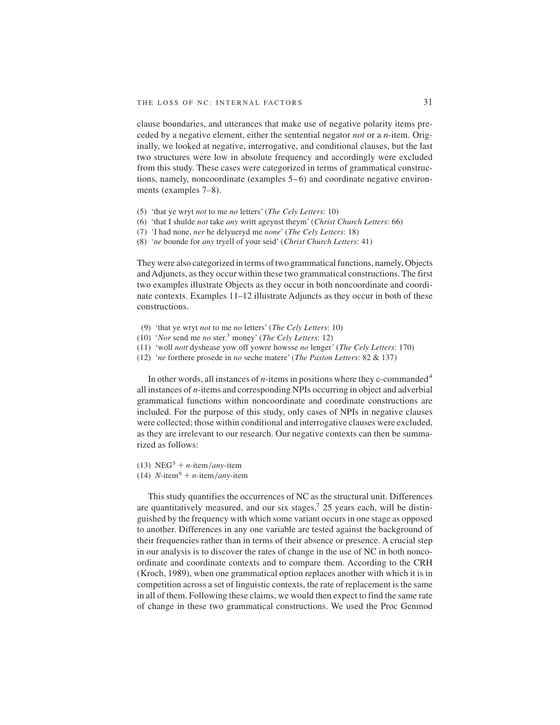clause boundaries, and utterances that make use of negative polarity items preceded by a negative element, either the sentential negator *not* or a *n*-item. Originally, we looked at negative, interrogative, and conditional clauses, but the last two structures were low in absolute frequency and accordingly were excluded from this study. These cases were categorized in terms of grammatical constructions, namely, noncoordinate (examples 5– 6) and coordinate negative environments (examples 7–8).

- (5) 'that ye wryt *not* to me *no* letters' (*The Cely Letters*: 10)
- (6) 'that I shulde *not* take *any* writt ageynst theym' (*Christ Church Letters*: 66)
- (7) 'I had none, *ner* he delyueryd me *none*' (*The Cely Letters*: 18)
- (8) '*ne* bounde for *any* tryell of your seid' (*Christ Church Letters*: 41)

They were also categorized in terms of two grammatical functions, namely, Objects and Adjuncts, as they occur within these two grammatical constructions. The first two examples illustrate Objects as they occur in both noncoordinate and coordinate contexts. Examples 11–12 illustrate Adjuncts as they occur in both of these constructions.

- (9) 'that ye wryt *not* to me *no* letters' (*The Cely Letters*: 10)
- (10) '*Nor* send me *no* ster.3 money' (*The Cely Letters*: 12)
- (11) 'woll *nott* dyshease yow off yowre howsse *no* lenger' (*The Cely Letters*: 170)
- (12) '*ne* forthere prosede in *no* seche matere' (*The Paston Letters*: 82 & 137)

In other words, all instances of  $n$ -items in positions where they c-commanded<sup>4</sup> all instances of *n*-items and corresponding NPIs occurring in object and adverbial grammatical functions within noncoordinate and coordinate constructions are included. For the purpose of this study, only cases of NPIs in negative clauses were collected; those within conditional and interrogative clauses were excluded, as they are irrelevant to our research. Our negative contexts can then be summarized as follows:

- $(13) \text{ NEG}^5 + n\text{-item}/any\text{-item}$
- $(14)$  *N*-item<sup>6</sup> + *n*-item/*any*-item

This study quantifies the occurrences of NC as the structural unit. Differences are quantitatively measured, and our six stages,<sup>7</sup> 25 years each, will be distinguished by the frequency with which some variant occurs in one stage as opposed to another. Differences in any one variable are tested against the background of their frequencies rather than in terms of their absence or presence. A crucial step in our analysis is to discover the rates of change in the use of NC in both noncoordinate and coordinate contexts and to compare them. According to the CRH (Kroch, 1989), when one grammatical option replaces another with which it is in competition across a set of linguistic contexts, the rate of replacement is the same in all of them. Following these claims, we would then expect to find the same rate of change in these two grammatical constructions. We used the Proc Genmod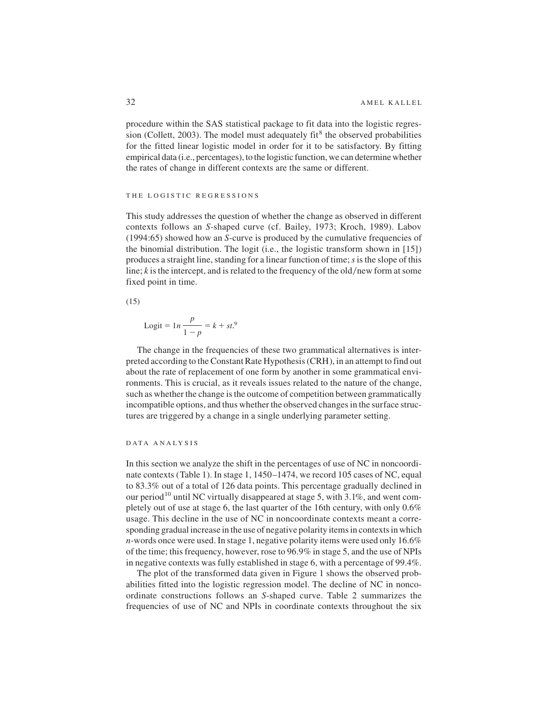procedure within the SAS statistical package to fit data into the logistic regression (Collett, 2003). The model must adequately fit<sup>8</sup> the observed probabilities for the fitted linear logistic model in order for it to be satisfactory. By fitting empirical data (i.e., percentages), to the logistic function, we can determine whether the rates of change in different contexts are the same or different.

### THE LOGISTIC REGRESSIONS

This study addresses the question of whether the change as observed in different contexts follows an *S*-shaped curve (cf. Bailey, 1973; Kroch, 1989). Labov (1994:65) showed how an *S*-curve is produced by the cumulative frequencies of the binomial distribution. The logit (i.e., the logistic transform shown in  $[15]$ ) produces a straight line, standing for a linear function of time;*s*is the slope of this line;  $k$  is the intercept, and is related to the frequency of the old/new form at some fixed point in time.

(15)

$$
Logit = 1n \frac{p}{1-p} = k + st9
$$

The change in the frequencies of these two grammatical alternatives is interpreted according to the Constant Rate Hypothesis (CRH), in an attempt to find out about the rate of replacement of one form by another in some grammatical environments. This is crucial, as it reveals issues related to the nature of the change, such as whether the change is the outcome of competition between grammatically incompatible options, and thus whether the observed changes in the surface structures are triggered by a change in a single underlying parameter setting.

#### DATA ANALYS IS

In this section we analyze the shift in the percentages of use of NC in noncoordinate contexts (Table 1). In stage 1, 1450–1474, we record 105 cases of NC, equal to 83.3% out of a total of 126 data points. This percentage gradually declined in our period<sup>10</sup> until NC virtually disappeared at stage 5, with  $3.1\%$ , and went completely out of use at stage 6, the last quarter of the 16th century, with only 0.6% usage. This decline in the use of NC in noncoordinate contexts meant a corresponding gradual increase in the use of negative polarity items in contexts in which *n*-words once were used. In stage 1, negative polarity items were used only 16.6% of the time; this frequency, however, rose to 96.9% in stage 5, and the use of NPIs in negative contexts was fully established in stage 6, with a percentage of 99.4%.

The plot of the transformed data given in Figure 1 shows the observed probabilities fitted into the logistic regression model. The decline of NC in noncoordinate constructions follows an *S*-shaped curve. Table 2 summarizes the frequencies of use of NC and NPIs in coordinate contexts throughout the six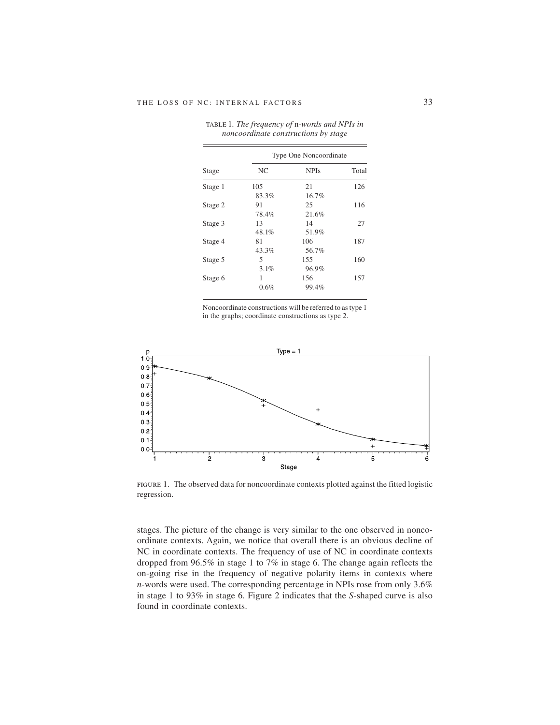|         | <b>Type One Noncoordinate</b> |             |       |  |  |
|---------|-------------------------------|-------------|-------|--|--|
| Stage   | NC                            | <b>NPIs</b> | Total |  |  |
| Stage 1 | 105                           | 21          | 126   |  |  |
|         | 83.3%                         | 16.7%       |       |  |  |
| Stage 2 | 91                            | 25          | 116   |  |  |
|         | 78.4%                         | 21.6%       |       |  |  |
| Stage 3 | 13                            | 14          | 27    |  |  |
|         | 48.1%                         | 51.9%       |       |  |  |
| Stage 4 | 81                            | 106         | 187   |  |  |
|         | 43.3%                         | 56.7%       |       |  |  |
| Stage 5 | 5                             | 155         | 160   |  |  |
|         | 3.1%                          | 96.9%       |       |  |  |
| Stage 6 | 1                             | 156         | 157   |  |  |
|         | 0.6%                          | 99.4%       |       |  |  |

TABLE 1*. The frequency of* n*-words and NPIs in noncoordinate constructions by stage*

Noncoordinate constructions will be referred to as type 1 in the graphs; coordinate constructions as type 2.



figure 1. The observed data for noncoordinate contexts plotted against the fitted logistic regression.

stages. The picture of the change is very similar to the one observed in noncoordinate contexts. Again, we notice that overall there is an obvious decline of NC in coordinate contexts. The frequency of use of NC in coordinate contexts dropped from 96.5% in stage 1 to 7% in stage 6. The change again reflects the on-going rise in the frequency of negative polarity items in contexts where *n*-words were used. The corresponding percentage in NPIs rose from only 3.6% in stage 1 to 93% in stage 6. Figure 2 indicates that the *S*-shaped curve is also found in coordinate contexts.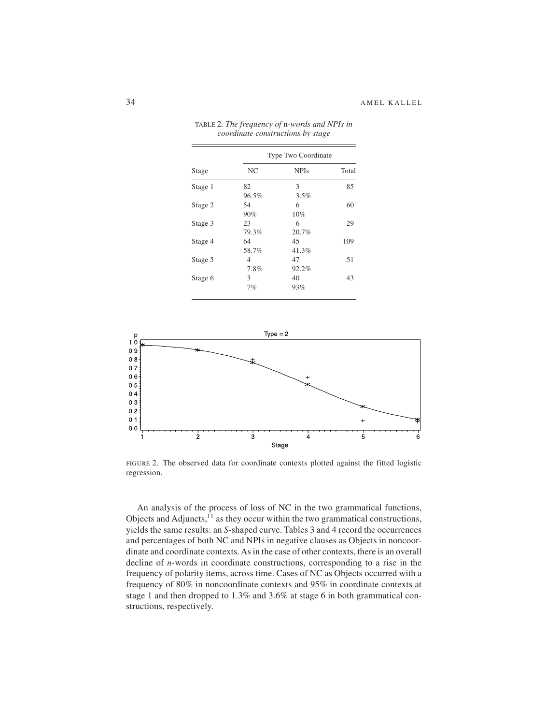|         | <b>Type Two Coordinate</b> |             |       |  |  |
|---------|----------------------------|-------------|-------|--|--|
| Stage   | NC                         | <b>NPIs</b> | Total |  |  |
| Stage 1 | 82                         | 3           | 85    |  |  |
|         | 96.5%                      | 3.5%        |       |  |  |
| Stage 2 | 54                         | 6           | 60    |  |  |
|         | 90%                        | 10%         |       |  |  |
| Stage 3 | 23                         | 6           | 29    |  |  |
|         | 79.3%                      | 20.7%       |       |  |  |
| Stage 4 | 64                         | 45          | 109   |  |  |
|         | 58.7%                      | 41.3%       |       |  |  |
| Stage 5 | 4                          | 47          | 51    |  |  |
|         | 7.8%                       | 92.2%       |       |  |  |
| Stage 6 | 3                          | 40          | 43    |  |  |
|         | 7%                         | 93%         |       |  |  |

TABLE 2*. The frequency of* n*-words and NPIs in coordinate constructions by stage*



figure 2. The observed data for coordinate contexts plotted against the fitted logistic regression.

An analysis of the process of loss of NC in the two grammatical functions, Objects and Adjuncts, $11$  as they occur within the two grammatical constructions, yields the same results: an *S*-shaped curve. Tables 3 and 4 record the occurrences and percentages of both NC and NPIs in negative clauses as Objects in noncoordinate and coordinate contexts. As in the case of other contexts, there is an overall decline of *n*-words in coordinate constructions, corresponding to a rise in the frequency of polarity items, across time. Cases of NC as Objects occurred with a frequency of 80% in noncoordinate contexts and 95% in coordinate contexts at stage 1 and then dropped to 1.3% and 3.6% at stage 6 in both grammatical constructions, respectively.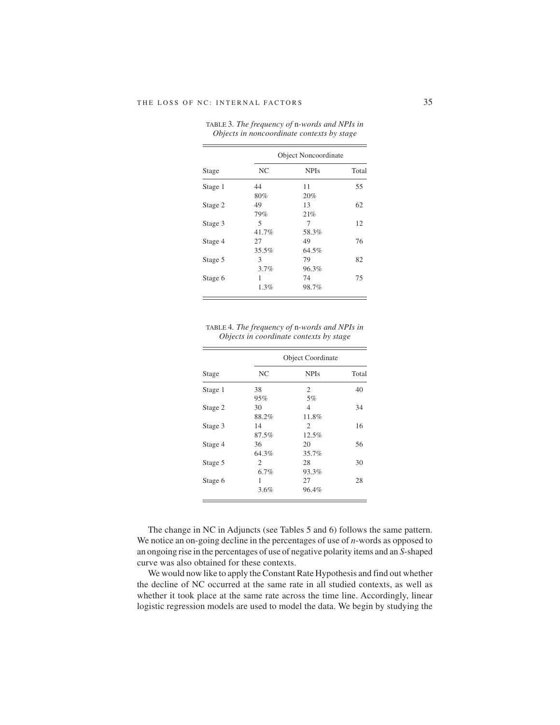|         | <b>Object Noncoordinate</b> |             |       |  |  |
|---------|-----------------------------|-------------|-------|--|--|
| Stage   | NC                          | <b>NPIs</b> | Total |  |  |
| Stage 1 | 44                          | 11          | 55    |  |  |
|         | 80%                         | 20%         |       |  |  |
| Stage 2 | 49                          | 13          | 62    |  |  |
|         | 79%                         | 21%         |       |  |  |
| Stage 3 | 5                           | 7           | 12    |  |  |
|         | 41.7%                       | 58.3%       |       |  |  |
| Stage 4 | 27                          | 49          | 76    |  |  |
|         | 35.5%                       | 64.5%       |       |  |  |
| Stage 5 | 3                           | 79          | 82    |  |  |
|         | 3.7%                        | 96.3%       |       |  |  |
| Stage 6 | 1                           | 74          | 75    |  |  |
|         | 1.3%                        | 98.7%       |       |  |  |

TABLE 3*. The frequency of* n*-words and NPIs in Objects in noncoordinate contexts by stage*

TABLE 4*. The frequency of* n*-words and NPIs in Objects in coordinate contexts by stage*

|         |       | <b>Object Coordinate</b> |       |  |  |
|---------|-------|--------------------------|-------|--|--|
| Stage   | NC    | <b>NPIs</b>              | Total |  |  |
| Stage 1 | 38    | 2                        | 40    |  |  |
|         | 95%   | 5%                       |       |  |  |
| Stage 2 | 30    | 4                        | 34    |  |  |
|         | 88.2% | 11.8%                    |       |  |  |
| Stage 3 | 14    | 2                        | 16    |  |  |
|         | 87.5% | 12.5%                    |       |  |  |
| Stage 4 | 36    | 20                       | 56    |  |  |
|         | 64.3% | 35.7%                    |       |  |  |
| Stage 5 | 2     | 28                       | 30    |  |  |
|         | 6.7%  | 93.3%                    |       |  |  |
| Stage 6 | 1     | 27                       | 28    |  |  |
|         | 3.6%  | 96.4%                    |       |  |  |

The change in NC in Adjuncts (see Tables 5 and 6) follows the same pattern. We notice an on-going decline in the percentages of use of *n*-words as opposed to an ongoing rise in the percentages of use of negative polarity items and an *S*-shaped curve was also obtained for these contexts.

We would now like to apply the Constant Rate Hypothesis and find out whether the decline of NC occurred at the same rate in all studied contexts, as well as whether it took place at the same rate across the time line. Accordingly, linear logistic regression models are used to model the data. We begin by studying the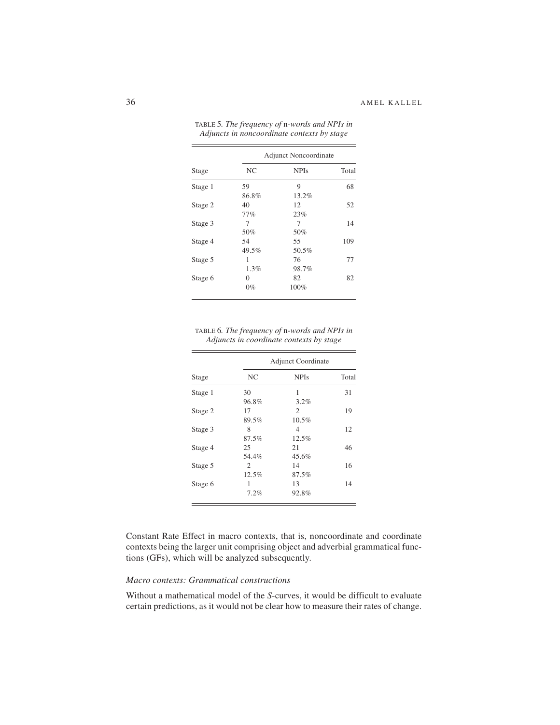|         | <b>Adjunct Noncoordinate</b> |             |       |  |  |
|---------|------------------------------|-------------|-------|--|--|
| Stage   | NC.                          | <b>NPIs</b> | Total |  |  |
| Stage 1 | 59                           | 9           | 68    |  |  |
|         | 86.8%                        | 13.2%       |       |  |  |
| Stage 2 | 40                           | 12          | 52    |  |  |
|         | 77%                          | 23%         |       |  |  |
| Stage 3 | 7                            | 7           | 14    |  |  |
|         | 50%                          | 50%         |       |  |  |
| Stage 4 | 54                           | 55          | 109   |  |  |
|         | 49.5%                        | 50.5%       |       |  |  |
| Stage 5 | 1                            | 76          | 77    |  |  |
|         | 1.3%                         | 98.7%       |       |  |  |
| Stage 6 | 0                            | 82          | 82    |  |  |
|         | $0\%$                        | 100%        |       |  |  |

TABLE 5*. The frequency of* n*-words and NPIs in Adjuncts in noncoordinate contexts by stage*

TABLE 6*. The frequency of* n*-words and NPIs in Adjuncts in coordinate contexts by stage*

|         | <b>Adjunct Coordinate</b> |             |       |  |  |
|---------|---------------------------|-------------|-------|--|--|
| Stage   | NC                        | <b>NPIs</b> | Total |  |  |
| Stage 1 | 30                        | 1           | 31    |  |  |
|         | 96.8%                     | 3.2%        |       |  |  |
| Stage 2 | 17                        | 2           | 19    |  |  |
|         | 89.5%                     | 10.5%       |       |  |  |
| Stage 3 | 8                         | 4           | 12    |  |  |
|         | 87.5%                     | 12.5%       |       |  |  |
| Stage 4 | 25                        | 21          | 46    |  |  |
|         | 54.4%                     | 45.6%       |       |  |  |
| Stage 5 | 2                         | 14          | 16    |  |  |
|         | 12.5%                     | 87.5%       |       |  |  |
| Stage 6 | 1                         | 13          | 14    |  |  |
|         | 7.2%                      | 92.8%       |       |  |  |
|         |                           |             |       |  |  |

Constant Rate Effect in macro contexts, that is, noncoordinate and coordinate contexts being the larger unit comprising object and adverbial grammatical functions (GFs), which will be analyzed subsequently.

# *Macro contexts: Grammatical constructions*

 $=$ 

Without a mathematical model of the *S*-curves, it would be difficult to evaluate certain predictions, as it would not be clear how to measure their rates of change.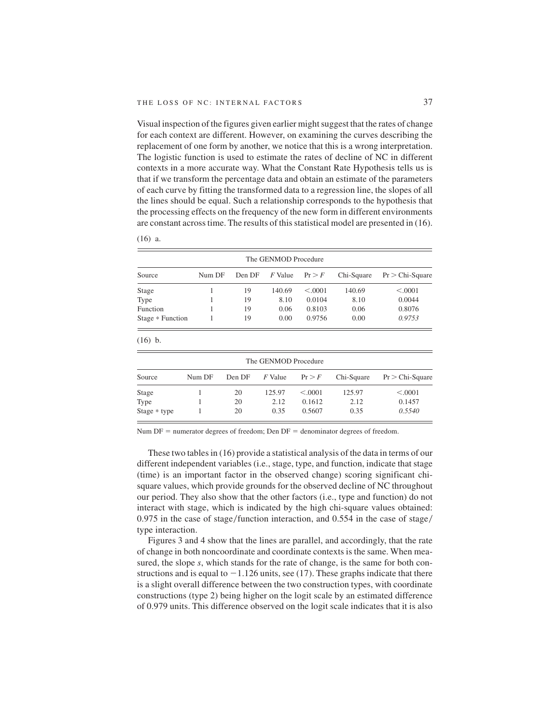Visual inspection of the figures given earlier might suggest that the rates of change for each context are different. However, on examining the curves describing the replacement of one form by another, we notice that this is a wrong interpretation. The logistic function is used to estimate the rates of decline of NC in different contexts in a more accurate way. What the Constant Rate Hypothesis tells us is that if we transform the percentage data and obtain an estimate of the parameters of each curve by fitting the transformed data to a regression line, the slopes of all the lines should be equal. Such a relationship corresponds to the hypothesis that the processing effects on the frequency of the new form in different environments are constant across time. The results of this statistical model are presented in (16).

|                  |        |        | The GENMOD Procedure |         |            |                   |
|------------------|--------|--------|----------------------|---------|------------|-------------------|
| Source           | Num DF | Den DF | F Value              | Pr > F  | Chi-Square | $Pr$ > Chi-Square |
| Stage            | 1      | 19     | 140.69               | < .0001 | 140.69     | < .0001           |
| Type             |        | 19     | 8.10                 | 0.0104  | 8.10       | 0.0044            |
| Function         |        | 19     | 0.06                 | 0.8103  | 0.06       | 0.8076            |
| Stage * Function |        | 19     | 0.00                 | 0.9756  | 0.00       | 0.9753            |
| $(16)$ b.        |        |        |                      |         |            |                   |
|                  |        |        | The GENMOD Procedure |         |            |                   |
| Source           | Num DF | Den DF | F Value              | Pr > F  | Chi-Square | $Pr > Chi-Square$ |
| Stage            |        | 20     | 125.97               | < .0001 | 125.97     | < .0001           |
| Type             |        | 20     | 2.12                 | 0.1612  | 2.12       | 0.1457            |
| Stage $*$ type   |        | 20     | 0.35                 | 0.5607  | 0.35       | 0.5540            |
|                  |        |        |                      |         |            |                   |

(16) a.

Num  $DF$  = numerator degrees of freedom; Den  $DF$  = denominator degrees of freedom.

These two tables in (16) provide a statistical analysis of the data in terms of our different independent variables (i.e., stage, type, and function, indicate that stage (time) is an important factor in the observed change) scoring significant chisquare values, which provide grounds for the observed decline of NC throughout our period. They also show that the other factors (i.e., type and function) do not interact with stage, which is indicated by the high chi-square values obtained: 0.975 in the case of stage/function interaction, and 0.554 in the case of stage/ type interaction.

Figures 3 and 4 show that the lines are parallel, and accordingly, that the rate of change in both noncoordinate and coordinate contexts is the same. When measured, the slope *s*, which stands for the rate of change, is the same for both constructions and is equal to  $-1.126$  units, see (17). These graphs indicate that there is a slight overall difference between the two construction types, with coordinate constructions (type 2) being higher on the logit scale by an estimated difference of 0.979 units. This difference observed on the logit scale indicates that it is also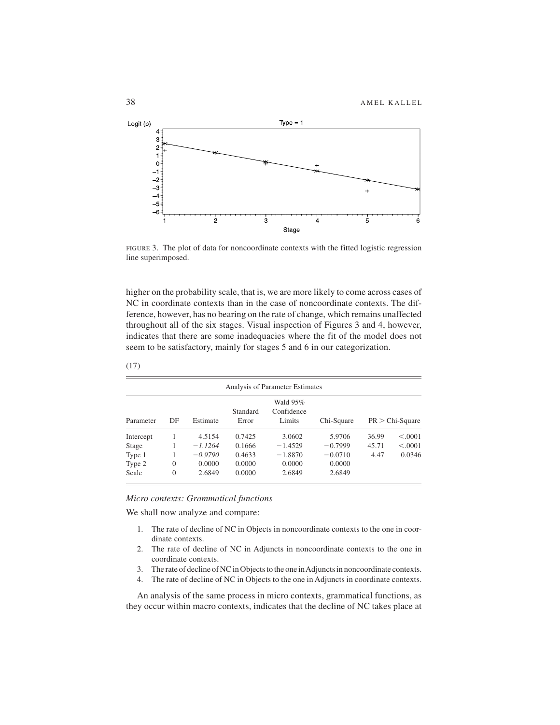

figure 3. The plot of data for noncoordinate contexts with the fitted logistic regression line superimposed.

higher on the probability scale, that is, we are more likely to come across cases of NC in coordinate contexts than in the case of noncoordinate contexts. The difference, however, has no bearing on the rate of change, which remains unaffected throughout all of the six stages. Visual inspection of Figures 3 and 4, however, indicates that there are some inadequacies where the fit of the model does not seem to be satisfactory, mainly for stages 5 and 6 in our categorization.

| Analysis of Parameter Estimates |          |           |                   |                                  |            |       |                   |
|---------------------------------|----------|-----------|-------------------|----------------------------------|------------|-------|-------------------|
| Parameter                       | DF       | Estimate  | Standard<br>Error | Wald 95%<br>Confidence<br>Limits | Chi-Square |       | $PR > Chi-Square$ |
| Intercept                       | 1        | 4.5154    | 0.7425            | 3.0602                           | 5.9706     | 36.99 | < 0.001           |
| Stage                           |          | $-1.1264$ | 0.1666            | $-1.4529$                        | $-0.7999$  | 45.71 | < 0.0001          |
| Type 1                          | 1        | $-0.9790$ | 0.4633            | $-1.8870$                        | $-0.0710$  | 4.47  | 0.0346            |
| Type 2                          | $\Omega$ | 0.0000    | 0.0000            | 0.0000                           | 0.0000     |       |                   |
| Scale                           | $\Omega$ | 2.6849    | 0.0000            | 2.6849                           | 2.6849     |       |                   |

(17)

# *Micro contexts: Grammatical functions*

We shall now analyze and compare:

- 1. The rate of decline of NC in Objects in noncoordinate contexts to the one in coordinate contexts.
- 2. The rate of decline of NC in Adjuncts in noncoordinate contexts to the one in coordinate contexts.
- 3. The rate of decline of NC in Objects to the one inAdjuncts in noncoordinate contexts.
- 4. The rate of decline of NC in Objects to the one in Adjuncts in coordinate contexts.

An analysis of the same process in micro contexts, grammatical functions, as they occur within macro contexts, indicates that the decline of NC takes place at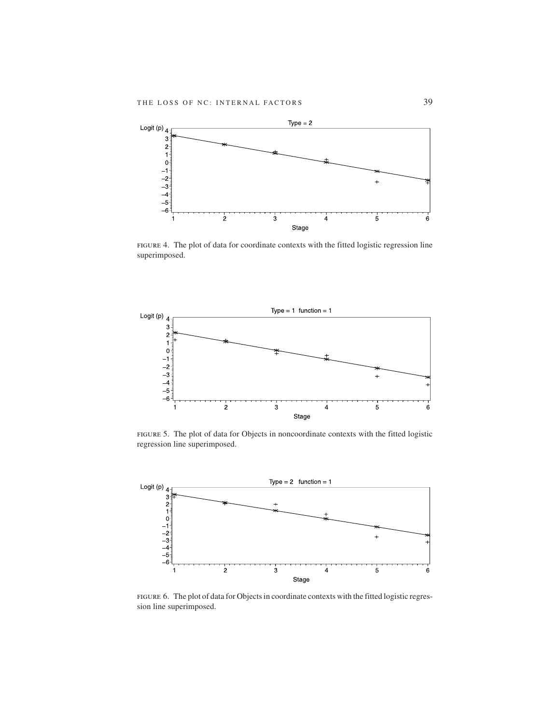

figure 4. The plot of data for coordinate contexts with the fitted logistic regression line superimposed.



figure 5. The plot of data for Objects in noncoordinate contexts with the fitted logistic regression line superimposed.



figure 6. The plot of data for Objects in coordinate contexts with the fitted logistic regression line superimposed.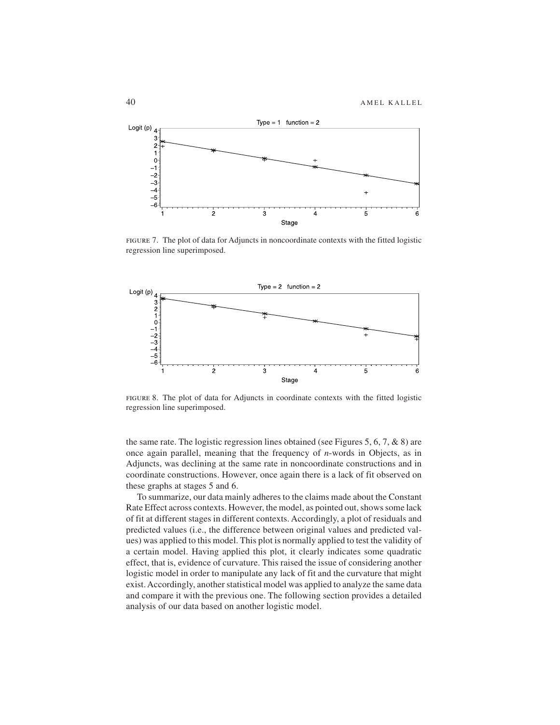

figure 7. The plot of data for Adjuncts in noncoordinate contexts with the fitted logistic regression line superimposed.



figure 8. The plot of data for Adjuncts in coordinate contexts with the fitted logistic regression line superimposed.

the same rate. The logistic regression lines obtained (see Figures 5, 6, 7, & 8) are once again parallel, meaning that the frequency of *n*-words in Objects, as in Adjuncts, was declining at the same rate in noncoordinate constructions and in coordinate constructions. However, once again there is a lack of fit observed on these graphs at stages 5 and 6.

To summarize, our data mainly adheres to the claims made about the Constant Rate Effect across contexts. However, the model, as pointed out, shows some lack of fit at different stages in different contexts. Accordingly, a plot of residuals and predicted values (i.e., the difference between original values and predicted values) was applied to this model. This plot is normally applied to test the validity of a certain model. Having applied this plot, it clearly indicates some quadratic effect, that is, evidence of curvature. This raised the issue of considering another logistic model in order to manipulate any lack of fit and the curvature that might exist. Accordingly, another statistical model was applied to analyze the same data and compare it with the previous one. The following section provides a detailed analysis of our data based on another logistic model.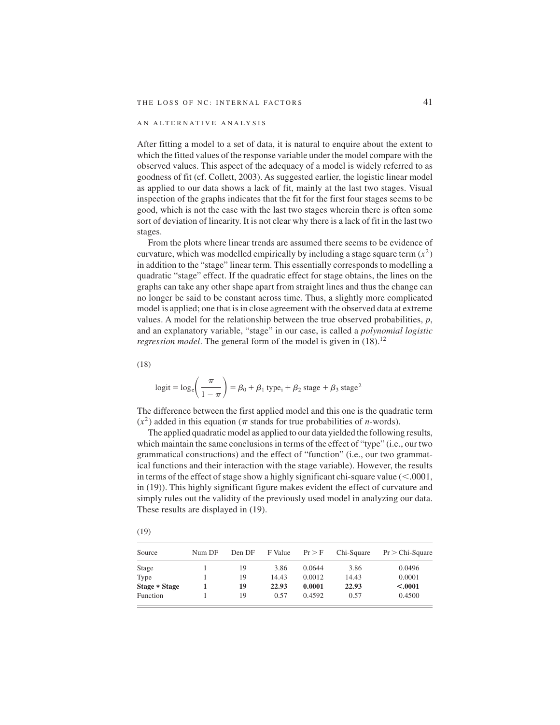## AN ALTERNATIVE ANALYSIS

After fitting a model to a set of data, it is natural to enquire about the extent to which the fitted values of the response variable under the model compare with the observed values. This aspect of the adequacy of a model is widely referred to as goodness of fit (cf. Collett, 2003). As suggested earlier, the logistic linear model as applied to our data shows a lack of fit, mainly at the last two stages. Visual inspection of the graphs indicates that the fit for the first four stages seems to be good, which is not the case with the last two stages wherein there is often some sort of deviation of linearity. It is not clear why there is a lack of fit in the last two stages.

From the plots where linear trends are assumed there seems to be evidence of curvature, which was modelled empirically by including a stage square term  $(x^2)$ in addition to the "stage" linear term. This essentially corresponds to modelling a quadratic "stage" effect. If the quadratic effect for stage obtains, the lines on the graphs can take any other shape apart from straight lines and thus the change can no longer be said to be constant across time. Thus, a slightly more complicated model is applied; one that is in close agreement with the observed data at extreme values. A model for the relationship between the true observed probabilities, *p*, and an explanatory variable, "stage" in our case, is called a *polynomial logistic regression model*. The general form of the model is given in (18).<sup>12</sup>

(18)

$$
logit = log_e\left(\frac{\pi}{1-\pi}\right) = \beta_0 + \beta_1 \text{ type}_i + \beta_2 \text{ stage} + \beta_3 \text{ stage}^2
$$

The difference between the first applied model and this one is the quadratic term  $(x^2)$  added in this equation ( $\pi$  stands for true probabilities of *n*-words).

The applied quadratic model as applied to our data yielded the following results, which maintain the same conclusions in terms of the effect of "type" (i.e., our two grammatical constructions) and the effect of "function" (i.e., our two grammatical functions and their interaction with the stage variable). However, the results in terms of the effect of stage show a highly significant chi-square value  $(<.0001$ , in (19)). This highly significant figure makes evident the effect of curvature and simply rules out the validity of the previously used model in analyzing our data. These results are displayed in (19).

| Source        | Num DF | Den DF | F Value | Pr > F | Chi-Square | $Pr > Chi-Square$ |
|---------------|--------|--------|---------|--------|------------|-------------------|
| Stage         |        | 19     | 3.86    | 0.0644 | 3.86       | 0.0496            |
| Type          |        | 19     | 14.43   | 0.0012 | 14.43      | 0.0001            |
| Stage * Stage |        | 19     | 22.93   | 0.0001 | 22.93      | < .0001           |
| Function      |        | 19     | 0.57    | 0.4592 | 0.57       | 0.4500            |

(19)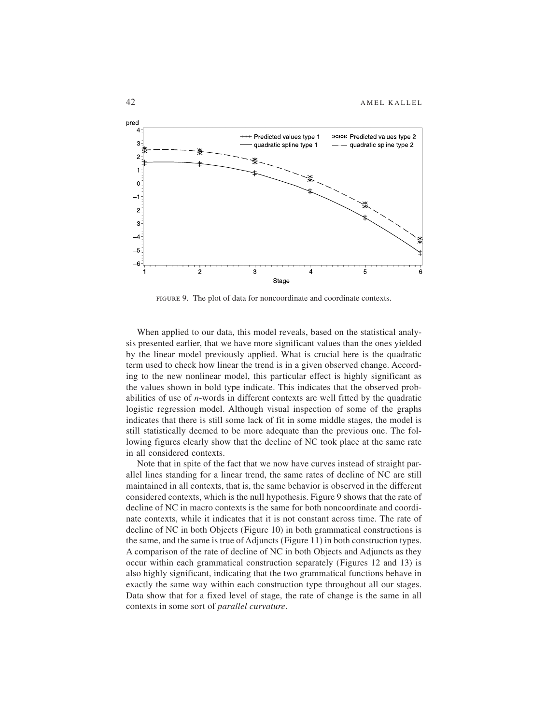

figure 9. The plot of data for noncoordinate and coordinate contexts.

When applied to our data, this model reveals, based on the statistical analysis presented earlier, that we have more significant values than the ones yielded by the linear model previously applied. What is crucial here is the quadratic term used to check how linear the trend is in a given observed change. According to the new nonlinear model, this particular effect is highly significant as the values shown in bold type indicate. This indicates that the observed probabilities of use of *n*-words in different contexts are well fitted by the quadratic logistic regression model. Although visual inspection of some of the graphs indicates that there is still some lack of fit in some middle stages, the model is still statistically deemed to be more adequate than the previous one. The following figures clearly show that the decline of NC took place at the same rate in all considered contexts.

Note that in spite of the fact that we now have curves instead of straight parallel lines standing for a linear trend, the same rates of decline of NC are still maintained in all contexts, that is, the same behavior is observed in the different considered contexts, which is the null hypothesis. Figure 9 shows that the rate of decline of NC in macro contexts is the same for both noncoordinate and coordinate contexts, while it indicates that it is not constant across time. The rate of decline of NC in both Objects (Figure 10) in both grammatical constructions is the same, and the same is true of Adjuncts (Figure 11) in both construction types. A comparison of the rate of decline of NC in both Objects and Adjuncts as they occur within each grammatical construction separately (Figures 12 and 13) is also highly significant, indicating that the two grammatical functions behave in exactly the same way within each construction type throughout all our stages. Data show that for a fixed level of stage, the rate of change is the same in all contexts in some sort of *parallel curvature*.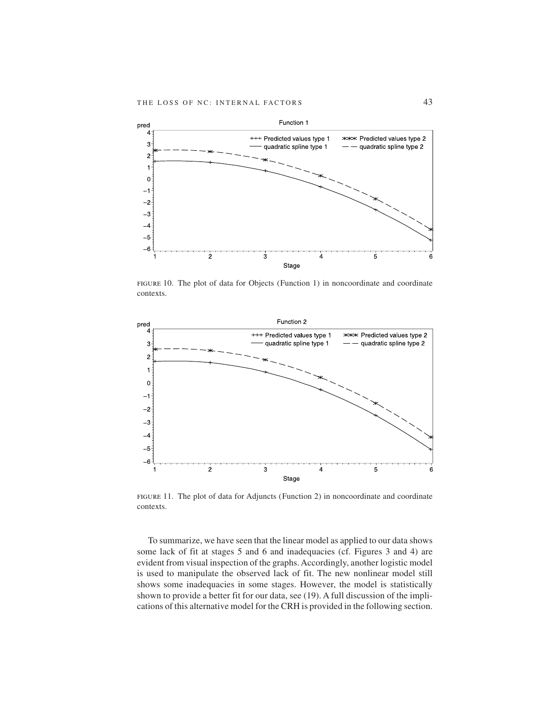

figure 10. The plot of data for Objects (Function 1) in noncoordinate and coordinate contexts.



figure 11. The plot of data for Adjuncts (Function 2) in noncoordinate and coordinate contexts.

To summarize, we have seen that the linear model as applied to our data shows some lack of fit at stages 5 and 6 and inadequacies (cf. Figures 3 and 4) are evident from visual inspection of the graphs. Accordingly, another logistic model is used to manipulate the observed lack of fit. The new nonlinear model still shows some inadequacies in some stages. However, the model is statistically shown to provide a better fit for our data, see (19). A full discussion of the implications of this alternative model for the CRH is provided in the following section.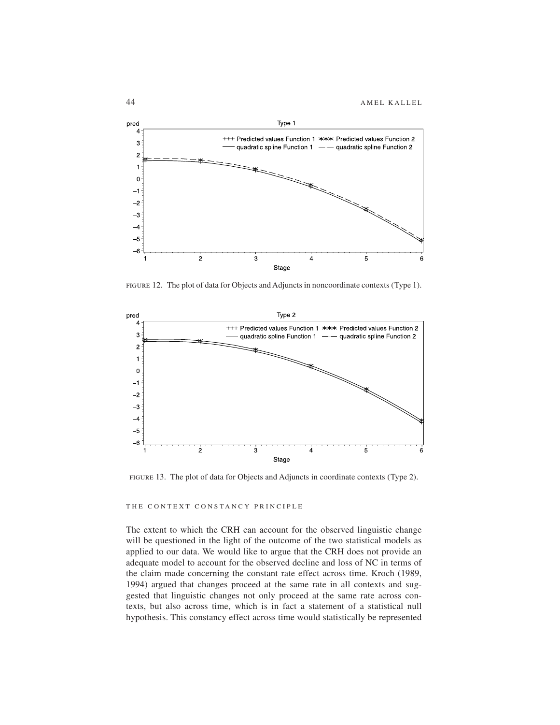

figure 12. The plot of data for Objects and Adjuncts in noncoordinate contexts (Type 1).



figure 13. The plot of data for Objects and Adjuncts in coordinate contexts (Type 2).

## THE CONTEXT CONSTANCY PRINCIPLE

The extent to which the CRH can account for the observed linguistic change will be questioned in the light of the outcome of the two statistical models as applied to our data. We would like to argue that the CRH does not provide an adequate model to account for the observed decline and loss of NC in terms of the claim made concerning the constant rate effect across time. Kroch (1989, 1994) argued that changes proceed at the same rate in all contexts and suggested that linguistic changes not only proceed at the same rate across contexts, but also across time, which is in fact a statement of a statistical null hypothesis. This constancy effect across time would statistically be represented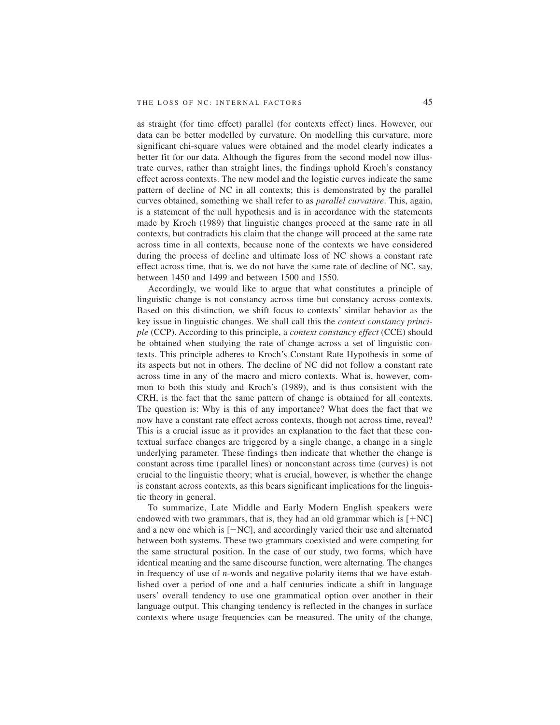as straight (for time effect) parallel (for contexts effect) lines. However, our data can be better modelled by curvature. On modelling this curvature, more significant chi-square values were obtained and the model clearly indicates a better fit for our data. Although the figures from the second model now illustrate curves, rather than straight lines, the findings uphold Kroch's constancy effect across contexts. The new model and the logistic curves indicate the same pattern of decline of NC in all contexts; this is demonstrated by the parallel curves obtained, something we shall refer to as *parallel curvature*. This, again, is a statement of the null hypothesis and is in accordance with the statements made by Kroch (1989) that linguistic changes proceed at the same rate in all contexts, but contradicts his claim that the change will proceed at the same rate across time in all contexts, because none of the contexts we have considered during the process of decline and ultimate loss of NC shows a constant rate effect across time, that is, we do not have the same rate of decline of NC, say, between 1450 and 1499 and between 1500 and 1550.

Accordingly, we would like to argue that what constitutes a principle of linguistic change is not constancy across time but constancy across contexts. Based on this distinction, we shift focus to contexts' similar behavior as the key issue in linguistic changes. We shall call this the *context constancy principle* (CCP). According to this principle, a *context constancy effect* (CCE) should be obtained when studying the rate of change across a set of linguistic contexts. This principle adheres to Kroch's Constant Rate Hypothesis in some of its aspects but not in others. The decline of NC did not follow a constant rate across time in any of the macro and micro contexts. What is, however, common to both this study and Kroch's (1989), and is thus consistent with the CRH, is the fact that the same pattern of change is obtained for all contexts. The question is: Why is this of any importance? What does the fact that we now have a constant rate effect across contexts, though not across time, reveal? This is a crucial issue as it provides an explanation to the fact that these contextual surface changes are triggered by a single change, a change in a single underlying parameter. These findings then indicate that whether the change is constant across time (parallel lines) or nonconstant across time (curves) is not crucial to the linguistic theory; what is crucial, however, is whether the change is constant across contexts, as this bears significant implications for the linguistic theory in general.

To summarize, Late Middle and Early Modern English speakers were endowed with two grammars, that is, they had an old grammar which is  $[+NC]$ and a new one which is  $[-NC]$ , and accordingly varied their use and alternated between both systems. These two grammars coexisted and were competing for the same structural position. In the case of our study, two forms, which have identical meaning and the same discourse function, were alternating. The changes in frequency of use of *n*-words and negative polarity items that we have established over a period of one and a half centuries indicate a shift in language users' overall tendency to use one grammatical option over another in their language output. This changing tendency is reflected in the changes in surface contexts where usage frequencies can be measured. The unity of the change,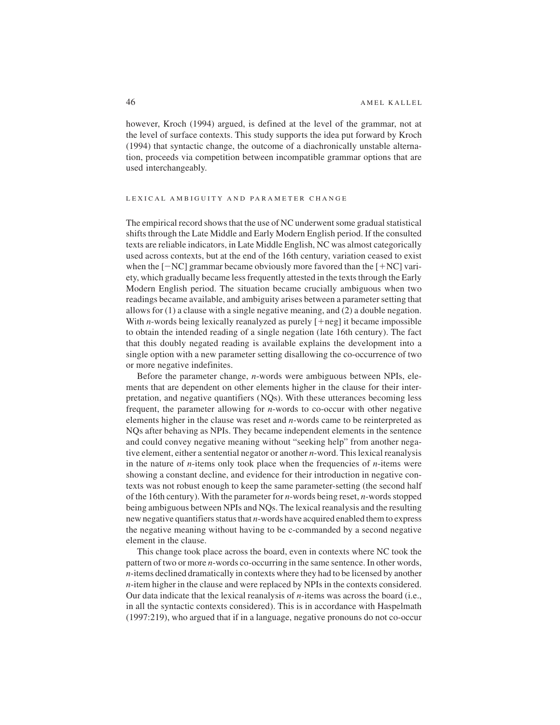however, Kroch (1994) argued, is defined at the level of the grammar, not at the level of surface contexts. This study supports the idea put forward by Kroch (1994) that syntactic change, the outcome of a diachronically unstable alternation, proceeds via competition between incompatible grammar options that are used interchangeably.

## LEXICAL AMBIGUITY AND PARAMETER CHANGE

The empirical record shows that the use of NC underwent some gradual statistical shifts through the Late Middle and Early Modern English period. If the consulted texts are reliable indicators, in Late Middle English, NC was almost categorically used across contexts, but at the end of the 16th century, variation ceased to exist when the  $[-NC]$  grammar became obviously more favored than the  $[+NC]$  variety, which gradually became less frequently attested in the texts through the Early Modern English period. The situation became crucially ambiguous when two readings became available, and ambiguity arises between a parameter setting that allows for (1) a clause with a single negative meaning, and (2) a double negation. With *n*-words being lexically reanalyzed as purely [+neg] it became impossible to obtain the intended reading of a single negation (late 16th century). The fact that this doubly negated reading is available explains the development into a single option with a new parameter setting disallowing the co-occurrence of two or more negative indefinites.

Before the parameter change, *n*-words were ambiguous between NPIs, elements that are dependent on other elements higher in the clause for their interpretation, and negative quantifiers (NQs). With these utterances becoming less frequent, the parameter allowing for *n*-words to co-occur with other negative elements higher in the clause was reset and *n*-words came to be reinterpreted as NQs after behaving as NPIs. They became independent elements in the sentence and could convey negative meaning without "seeking help" from another negative element, either a sentential negator or another *n*-word. This lexical reanalysis in the nature of *n*-items only took place when the frequencies of *n*-items were showing a constant decline, and evidence for their introduction in negative contexts was not robust enough to keep the same parameter-setting (the second half of the 16th century). With the parameter for *n*-words being reset, *n*-words stopped being ambiguous between NPIs and NQs. The lexical reanalysis and the resulting new negative quantifiers status that *n*-words have acquired enabled them to express the negative meaning without having to be c-commanded by a second negative element in the clause.

This change took place across the board, even in contexts where NC took the pattern of two or more *n*-words co-occurring in the same sentence. In other words, *n*-items declined dramatically in contexts where they had to be licensed by another *n*-item higher in the clause and were replaced by NPIs in the contexts considered. Our data indicate that the lexical reanalysis of *n*-items was across the board (i.e., in all the syntactic contexts considered). This is in accordance with Haspelmath (1997:219), who argued that if in a language, negative pronouns do not co-occur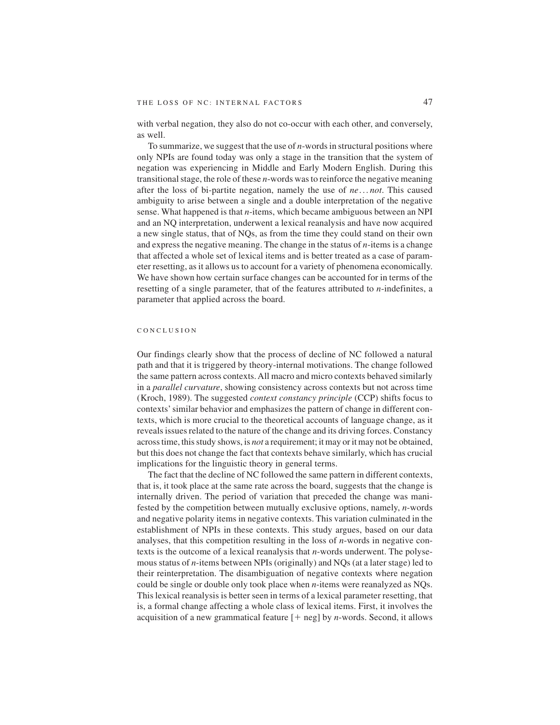with verbal negation, they also do not co-occur with each other, and conversely, as well.

To summarize, we suggest that the use of *n*-words in structural positions where only NPIs are found today was only a stage in the transition that the system of negation was experiencing in Middle and Early Modern English. During this transitional stage, the role of these *n*-words was to reinforce the negative meaning after the loss of bi-partite negation, namely the use of *ne... not*. This caused ambiguity to arise between a single and a double interpretation of the negative sense. What happened is that *n*-items, which became ambiguous between an NPI and an NQ interpretation, underwent a lexical reanalysis and have now acquired a new single status, that of NQs, as from the time they could stand on their own and express the negative meaning. The change in the status of *n*-items is a change that affected a whole set of lexical items and is better treated as a case of parameter resetting, as it allows us to account for a variety of phenomena economically. We have shown how certain surface changes can be accounted for in terms of the resetting of a single parameter, that of the features attributed to *n*-indefinites, a parameter that applied across the board.

#### CONCLUSION

Our findings clearly show that the process of decline of NC followed a natural path and that it is triggered by theory-internal motivations. The change followed the same pattern across contexts. All macro and micro contexts behaved similarly in a *parallel curvature*, showing consistency across contexts but not across time (Kroch, 1989). The suggested *context constancy principle* (CCP) shifts focus to contexts' similar behavior and emphasizes the pattern of change in different contexts, which is more crucial to the theoretical accounts of language change, as it reveals issues related to the nature of the change and its driving forces. Constancy across time, this study shows, is *not* a requirement; it may or it may not be obtained, but this does not change the fact that contexts behave similarly, which has crucial implications for the linguistic theory in general terms.

The fact that the decline of NC followed the same pattern in different contexts, that is, it took place at the same rate across the board, suggests that the change is internally driven. The period of variation that preceded the change was manifested by the competition between mutually exclusive options, namely, *n*-words and negative polarity items in negative contexts. This variation culminated in the establishment of NPIs in these contexts. This study argues, based on our data analyses, that this competition resulting in the loss of *n*-words in negative contexts is the outcome of a lexical reanalysis that *n*-words underwent. The polysemous status of *n*-items between NPIs (originally) and NQs (at a later stage) led to their reinterpretation. The disambiguation of negative contexts where negation could be single or double only took place when *n*-items were reanalyzed as NQs. This lexical reanalysis is better seen in terms of a lexical parameter resetting, that is, a formal change affecting a whole class of lexical items. First, it involves the acquisition of a new grammatical feature  $[+$  neg] by *n*-words. Second, it allows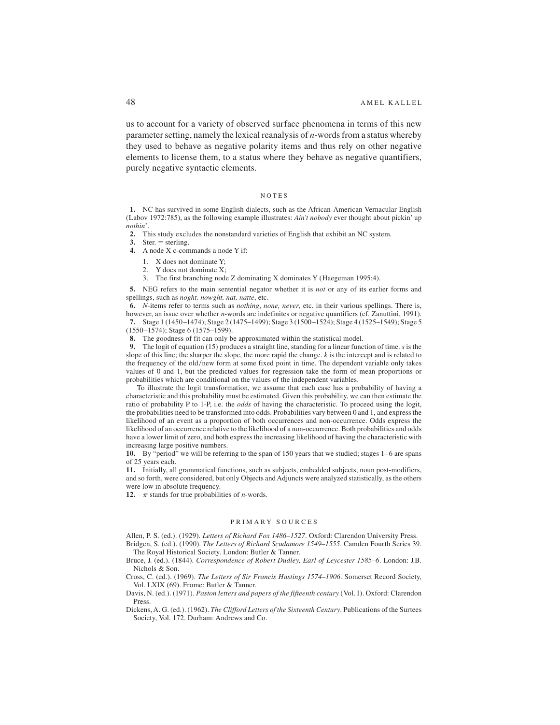us to account for a variety of observed surface phenomena in terms of this new parameter setting, namely the lexical reanalysis of *n*-words from a status whereby they used to behave as negative polarity items and thus rely on other negative elements to license them, to a status where they behave as negative quantifiers, purely negative syntactic elements.

# NOTES

**1.** NC has survived in some English dialects, such as the African-American Vernacular English (Labov 1972:785), as the following example illustrates: *Ain't nobody* ever thought about pickin' up *nothin*'.

**2.** This study excludes the nonstandard varieties of English that exhibit an NC system.

- 3. Ster.  $=$  sterling.
- **4.** A node X c-commands a node Y if:
	- 1. X does not dominate Y;
	- 2. Y does not dominate X;
	- 3. The first branching node Z dominating X dominates Y (Haegeman 1995:4).

**5.** NEG refers to the main sentential negator whether it is *not* or any of its earlier forms and spellings, such as *noght, nowght, nat, natte*, etc.

**6.** *N*-items refer to terms such as *nothing*, *none, never*, etc. in their various spellings. There is, however, an issue over whether *n*-words are indefinites or negative quantifiers (cf. Zanuttini, 1991).

**7.** Stage 1 (1450–1474); Stage 2 (1475–1499); Stage 3 (1500–1524); Stage 4 (1525–1549); Stage 5 (1550–1574); Stage 6 (1575–1599).

**8.** The goodness of fit can only be approximated within the statistical model.

**9.** The logit of equation (15) produces a straight line, standing for a linear function of time. *s* is the slope of this line; the sharper the slope, the more rapid the change. *k* is the intercept and is related to the frequency of the old/new form at some fixed point in time. The dependent variable only takes values of 0 and 1, but the predicted values for regression take the form of mean proportions or probabilities which are conditional on the values of the independent variables.

To illustrate the logit transformation, we assume that each case has a probability of having a characteristic and this probability must be estimated. Given this probability, we can then estimate the ratio of probability P to 1-P, i.e. the *odds* of having the characteristic. To proceed using the logit, the probabilities need to be transformed into odds. Probabilities vary between 0 and 1, and express the likelihood of an event as a proportion of both occurrences and non-occurrence. Odds express the likelihood of an occurrence relative to the likelihood of a non-occurrence. Both probabilities and odds have a lower limit of zero, and both express the increasing likelihood of having the characteristic with increasing large positive numbers.

**10.** By "period" we will be referring to the span of 150 years that we studied; stages 1–6 are spans of 25 years each.

**11.** Initially, all grammatical functions, such as subjects, embedded subjects, noun post-modifiers, and so forth, were considered, but only Objects and Adjuncts were analyzed statistically, as the others were low in absolute frequency.

**12.**  $\pi$  stands for true probabilities of *n*-words.

#### PRIMARY SOURCES

Allen, P. S. (ed.). (1929). *Letters of Richard Fox 1486–1527*. Oxford: Clarendon University Press. Bridgen, S. (ed.). (1990). *The Letters of Richard Scudamore 1549–1555*. Camden Fourth Series 39.

The Royal Historical Society. London: Butler & Tanner. Bruce, J. (ed.). (1844). *Correspondence of Robert Dudley, Earl of Leycester 1585–6*. London: J.B.

- Nichols & Son. Cross, C. (ed.). (1969). *The Letters of Sir Francis Hastings 1574–1906*. Somerset Record Society,
- Vol. LXIX (69). Frome: Butler & Tanner. Davis, N. (ed.). (1971). *Paston letters and papers of the fifteenth century* (Vol. I). Oxford: Clarendon Press.
- Dickens, A. G. (ed.). (1962). *The Clifford Letters of the Sixteenth Century*. Publications of the Surtees Society, Vol. 172. Durham: Andrews and Co.